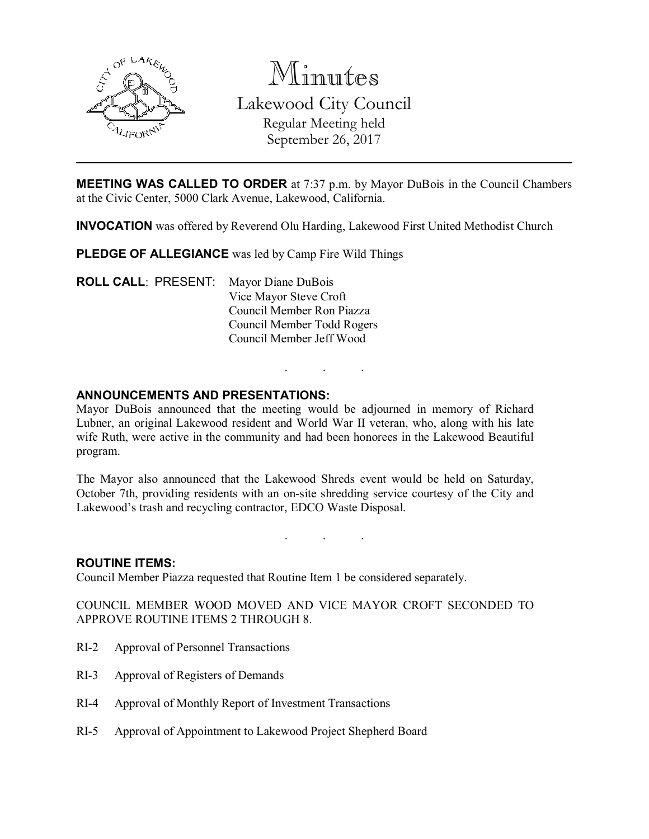

Minutes

Lakewood City Council Regular Meeting held

September 26, 2017

**MEETING WAS CALLED TO ORDER** at 7:37 p.m. by Mayor DuBois in the Council Chambers at the Civic Center, 5000 Clark Avenue, Lakewood, California.

INVOCATION was offered by Reverend Olu Harding, Lakewood First United Methodist Church

PLEDGE OF ALLEGIANCE was led by Camp Fire Wild Things

ROLL CALL: PRESENT: Mayor Diane DuBois Vice Mayor Steve Croft Council Member Ron Piazza Council Member Todd Rogers Council Member Jeff Wood

# ANNOUNCEMENTS AND PRESENTATIONS:

Mayor DuBois announced that the meeting would be adjourned in memory of Richard Lubner, an original Lakewood resident and World War II veteran, who, along with his late wife Ruth, were active in the community and had been honorees in the Lakewood Beautiful program.

. . .

The Mayor also announced that the Lakewood Shreds event would be held on Saturday, October 7th, providing residents with an on-site shredding service courtesy of the City and Lakewood's trash and recycling contractor, EDCO Waste Disposal.

. . .

## ROUTINE ITEMS:

Council Member Piazza requested that Routine Item 1 be considered separately.

COUNCIL MEMBER WOOD MOVED AND VICE MAYOR CROFT SECONDED TO APPROVE ROUTINE ITEMS 2 THROUGH 8.

- RI-2 Approval of Personnel Transactions
- RI-3 Approval of Registers of Demands
- RI-4 Approval of Monthly Report of Investment Transactions
- RI-5 Approval of Appointment to Lakewood Project Shepherd Board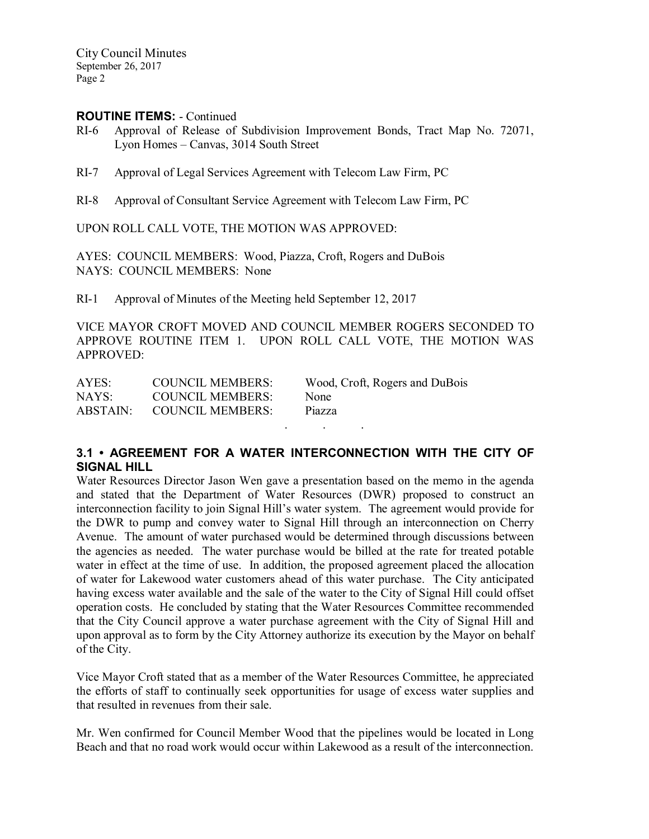City Council Minutes September 26, 2017 Page 2

### ROUTINE ITEMS: - Continued

- RI-6 Approval of Release of Subdivision Improvement Bonds, Tract Map No. 72071, Lyon Homes – Canvas, 3014 South Street
- RI-7 Approval of Legal Services Agreement with Telecom Law Firm, PC
- RI-8 Approval of Consultant Service Agreement with Telecom Law Firm, PC

UPON ROLL CALL VOTE, THE MOTION WAS APPROVED:

AYES: COUNCIL MEMBERS: Wood, Piazza, Croft, Rogers and DuBois NAYS: COUNCIL MEMBERS: None

RI-1 Approval of Minutes of the Meeting held September 12, 2017

VICE MAYOR CROFT MOVED AND COUNCIL MEMBER ROGERS SECONDED TO APPROVE ROUTINE ITEM 1. UPON ROLL CALL VOTE, THE MOTION WAS APPROVED:

| AYES: | COUNCIL MEMBERS:          | Wood, Croft, Rogers and DuBois |
|-------|---------------------------|--------------------------------|
| NAYS: | <b>COUNCIL MEMBERS:</b>   | <b>None</b>                    |
|       | ABSTAIN: COUNCIL MEMBERS: | Piazza                         |
|       |                           |                                |

## 3.1 • AGREEMENT FOR A WATER INTERCONNECTION WITH THE CITY OF SIGNAL HILL

Water Resources Director Jason Wen gave a presentation based on the memo in the agenda and stated that the Department of Water Resources (DWR) proposed to construct an interconnection facility to join Signal Hill's water system. The agreement would provide for the DWR to pump and convey water to Signal Hill through an interconnection on Cherry Avenue. The amount of water purchased would be determined through discussions between the agencies as needed. The water purchase would be billed at the rate for treated potable water in effect at the time of use. In addition, the proposed agreement placed the allocation of water for Lakewood water customers ahead of this water purchase. The City anticipated having excess water available and the sale of the water to the City of Signal Hill could offset operation costs. He concluded by stating that the Water Resources Committee recommended that the City Council approve a water purchase agreement with the City of Signal Hill and upon approval as to form by the City Attorney authorize its execution by the Mayor on behalf of the City.

Vice Mayor Croft stated that as a member of the Water Resources Committee, he appreciated the efforts of staff to continually seek opportunities for usage of excess water supplies and that resulted in revenues from their sale.

Mr. Wen confirmed for Council Member Wood that the pipelines would be located in Long Beach and that no road work would occur within Lakewood as a result of the interconnection.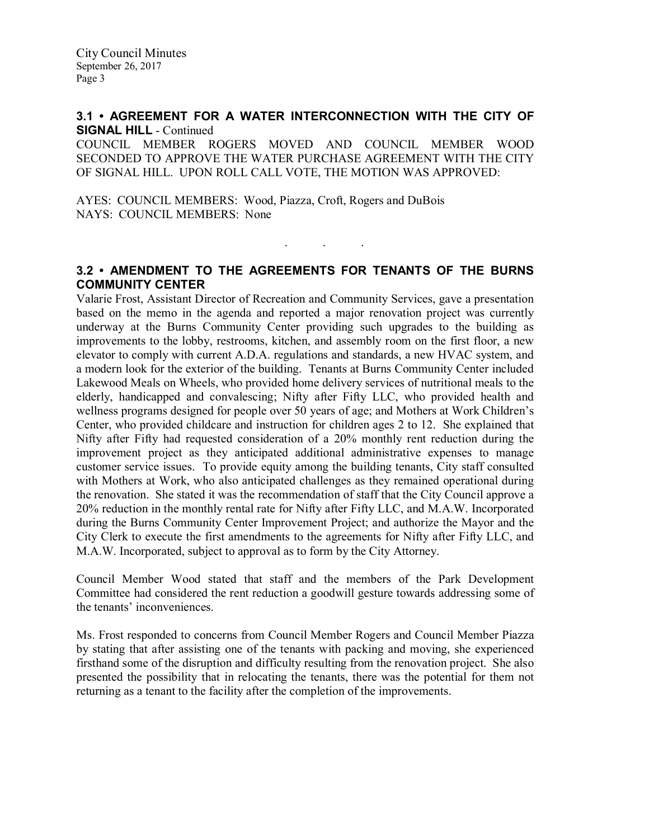### 3.1 • AGREEMENT FOR A WATER INTERCONNECTION WITH THE CITY OF SIGNAL HILL - Continued

COUNCIL MEMBER ROGERS MOVED AND COUNCIL MEMBER WOOD SECONDED TO APPROVE THE WATER PURCHASE AGREEMENT WITH THE CITY OF SIGNAL HILL. UPON ROLL CALL VOTE, THE MOTION WAS APPROVED:

AYES: COUNCIL MEMBERS: Wood, Piazza, Croft, Rogers and DuBois NAYS: COUNCIL MEMBERS: None

# 3.2 • AMENDMENT TO THE AGREEMENTS FOR TENANTS OF THE BURNS COMMUNITY CENTER

. . .

Valarie Frost, Assistant Director of Recreation and Community Services, gave a presentation based on the memo in the agenda and reported a major renovation project was currently underway at the Burns Community Center providing such upgrades to the building as improvements to the lobby, restrooms, kitchen, and assembly room on the first floor, a new elevator to comply with current A.D.A. regulations and standards, a new HVAC system, and a modern look for the exterior of the building. Tenants at Burns Community Center included Lakewood Meals on Wheels, who provided home delivery services of nutritional meals to the elderly, handicapped and convalescing; Nifty after Fifty LLC, who provided health and wellness programs designed for people over 50 years of age; and Mothers at Work Children's Center, who provided childcare and instruction for children ages 2 to 12. She explained that Nifty after Fifty had requested consideration of a 20% monthly rent reduction during the improvement project as they anticipated additional administrative expenses to manage customer service issues. To provide equity among the building tenants, City staff consulted with Mothers at Work, who also anticipated challenges as they remained operational during the renovation. She stated it was the recommendation of staff that the City Council approve a 20% reduction in the monthly rental rate for Nifty after Fifty LLC, and M.A.W. Incorporated during the Burns Community Center Improvement Project; and authorize the Mayor and the City Clerk to execute the first amendments to the agreements for Nifty after Fifty LLC, and M.A.W. Incorporated, subject to approval as to form by the City Attorney.

Council Member Wood stated that staff and the members of the Park Development Committee had considered the rent reduction a goodwill gesture towards addressing some of the tenants' inconveniences.

Ms. Frost responded to concerns from Council Member Rogers and Council Member Piazza by stating that after assisting one of the tenants with packing and moving, she experienced firsthand some of the disruption and difficulty resulting from the renovation project. She also presented the possibility that in relocating the tenants, there was the potential for them not returning as a tenant to the facility after the completion of the improvements.